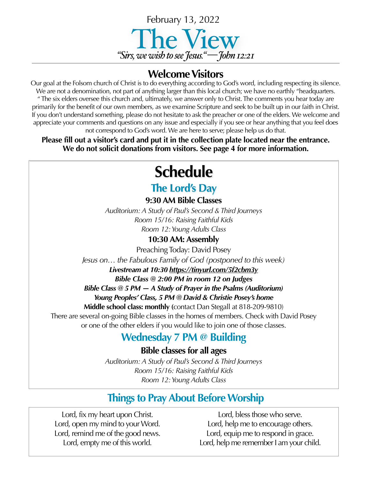

### **Welcome Visitors**

Our goal at the Folsom church of Christ is to do everything according to God's word, including respecting its silence. We are not a denomination, not part of anything larger than this local church; we have no earthly "headquarters. " The six elders oversee this church and, ultimately, we answer only to Christ. The comments you hear today are primarily for the benefit of our own members, as we examine Scripture and seek to be built up in our faith in Christ. If you don't understand something, please do not hesitate to ask the preacher or one of the elders. We welcome and appreciate your comments and questions on any issue and especially if you see or hear anything that you feel does not correspond to God's word. We are here to serve; please help us do that.

**Please fill out a visitor's card and put it in the collection plate located near the entrance. We do not solicit donations from visitors. See page 4 for more information.**

# **Schedule**

### **The Lord's Day**

**9:30 AM Bible Classes**

*Auditorium: A Study of Paul's Second & Third Journeys Room 15/16: Raising Faithful Kids Room 12: Young Adults Class*

#### **10:30 AM: Assembly**

Preaching Today: David Posey

*Jesus on… the Fabulous Family of God (postponed to this week)*

#### *Livestream at 10:30 <https://tinyurl.com/5f2cbm3y>*

*Bible Class @ 2:00 PM in room 12 on Judges*

*Bible Class @ 5 PM — A Study of Prayer in the Psalms (Auditorium) Young Peoples' Class, 5 PM @ David & Christie Posey's home* 

**Middle school class: monthly (**contact Dan Stegall at 818-209-9810) There are several on-going Bible classes in the homes of members. Check with David Posey or one of the other elders if you would like to join one of those classes.

## **Wednesday 7 PM @ Building**

**Bible classes for all ages**

*Auditorium: A Study of Paul's Second & Third Journeys Room 15/16: Raising Faithful Kids Room 12: Young Adults Class*

# **Things to Pray About Before Worship**

Lord, fix my heart upon Christ. Lord, open my mind to your Word. Lord, remind me of the good news. Lord, empty me of this world.

Lord, bless those who serve. Lord, help me to encourage others. Lord, equip me to respond in grace. Lord, help me remember I am your child.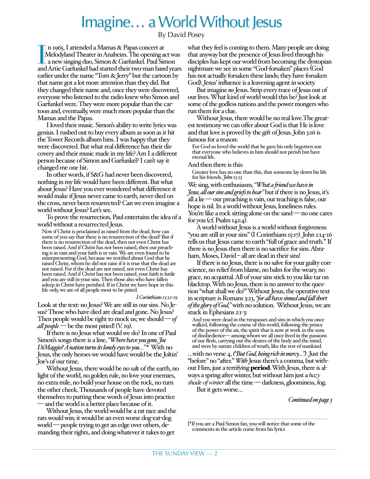# Imagine… a World Without Jesus

#### By David Posey

In 1965, I attended a Mamas & Papas concert at<br>Melodyland Theater in Anaheim. The opening act was<br>a new singing duo, Simon & Garfunkel. Paul Simon<br>and Artie Garfunkel had started their two-man band years n 1965, I attended a Mamas & Papas concert at Melodyland Theater in Anaheim. The opening act was a new singing duo, Simon & Garfunkel. Paul Simon earlier under the name "Tom & Jerry" but the cartoon by that name got a lot more attention than they did. But they changed their name and, once they were discovered, everyone who listened to the radio knew who Simon and Garfunkel were. They were more popular than the cartoon and, eventually, were much more popular than the Mamas and the Papas.

I loved their music. Simon's ability to write lyrics was genius. I rushed out to buy every album as soon as it hit the Tower Records album bins. I was happy that they were discovered. But what real difference has their discovery and their music made in my life? Am I a different person because of Simon and Garfunkel? I can't say it changed me one bit.

In other words, if S&G had never been discovered, nothing in my life would have been different. But what about Jesus? Have you ever wondered what difference it would make if Jesus never came to earth, never died on the cross, never been resurrected? Can we even imagine a world without Jesus? Let's see.

To prove the resurrection, Paul entertains the idea of a world without a resurrected Jesus.

Now if Christ is proclaimed as raised from the dead, how can some of you say that there is no resurrection of the dead? But if there is no resurrection of the dead, then not even Christ has<br>been raised. And if Christ has not been raised, then our preaching is in vain and your faith is in vain. We are even found to be misrepresenting God, because we testified about God that he raised Christ, whom he did not raise if it is true that the dead are not raised. For if the dead are not raised, not even Christ has been raised. And if Christ has not been raised, your faith is futile and you are still in your sins. Then those also who have fallen asleep in Christ have perished. If in Christ we have hope in this life only, we are of all people most to be pitied.

#### *I Corinthians 15:12-19*

Look at the text: no Jesus? We are still in our sins. No Jesus? Those who have died are dead and gone. No Jesus? Then people would be right to mock us; we should —*of all people* — be the most pitied! (V. 19).

If there is no Jesus what would we do? In one of Paul Simon's songs there is a line, *"Where have you gone, Joe DiMaggio? A nation turns its lonely eyes to you…" \** With no Jesus, the only heroes we would have would be the Joltin' Joe's of our time.

Without Jesus, there would be no salt of the earth, no light of the world, no golden rule, no love your enemies, no extra mile, no build your house on the rock, no turn the other cheek. Thousands of people have devoted themselves to putting these words of Jesus into practice — and the world is a better place because of it.

Without Jesus, the world would be a rat race and the rats would win; it would be an even worse dog-eat-dog world — people trying to get an edge over others, demanding their rights, and doing whatever it takes to get

what they feel is coming to them. Many people are doing that anyway but the presence of Jesus lived through his disciples has kept our world from becoming the dystopian nightmare we see in some "God-forsaken" places (God has not actually forsaken these lands; they have forsaken God). Jesus' influence is a leavening agent in society.

But imagine *no* Jesus. Strip every trace of Jesus out of our lives. What kind of world would this be? Just look at some of the godless nations and the power mongers who run them for a clue.

Without Jesus, there would be no real love.The greatest testimony we can offer about God is that He is love and that love is proved by the gift of Jesus. John 3:16 is famous for a reason:

For God so loved the world that he gave his only begotten son that everyone who believes in him should not perish but have eternal life.

And then there is this:

Greater love has no one than this, that someone lay down his life for his friends. *John 15:13*

We sing, with enthusiasm, *"What a friend we have in Jesus, all our sins and griefs to bear"* but if there is no Jesus, it's all a lie — our preaching is vain, our teaching is false, our hope is nil. In a world without Jesus, loneliness rules. You're like a rock sitting alone on the sand — no one cares for you (cf. Psalm  $142:4$ ).

A world without Jesus is a world without forgiveness: "you are still in your sins" (I Corinthians 15:17). John 1:14-16 tells us that Jesus came to earth "full of grace and truth." If there is no Jesus then there is no sacrifice for sins. Abraham, Moses, David – all are dead in their sins!

If there is no Jesus, there is no salve for your guilty conscience, no relief from blame, no balm for the weary, no grace, no acquittal. All of your sins stick to you like tar on blacktop. With no Jesus, there is no answer to the question "what shall we do?" Without Jesus, the operative text in scripture is Romans 3:23, *"for all have sinned and fall short of the glory of God,"* with no solution. Without Jesus, we are stuck in Ephesians 2:1-3:

And you were dead in the trespasses and sins in which you once walked, following the course of this world, following the prince of the power of the air, the spirit that is now at work in the sons of disobedience— among whom we all once lived in the passions of our flesh, carrying out the desires of the body and the mind, and were by nature children of wrath, like the rest of mankind.

…with no verse 4, *("But God, being rich in mercy…")*. Just the "before" no "after." *With* Jesus there's a comma, but without Him, just a terrifying **period**. With Jesus, there is always a spring after winter, but without him just a *hazy shade of winter* all the time — darkness, gloominess, fog. But it gets worse…

*Continued on page 3*

[\*If you are a Paul Simon fan, you will notice that some of the comments in the article come from his lyrics